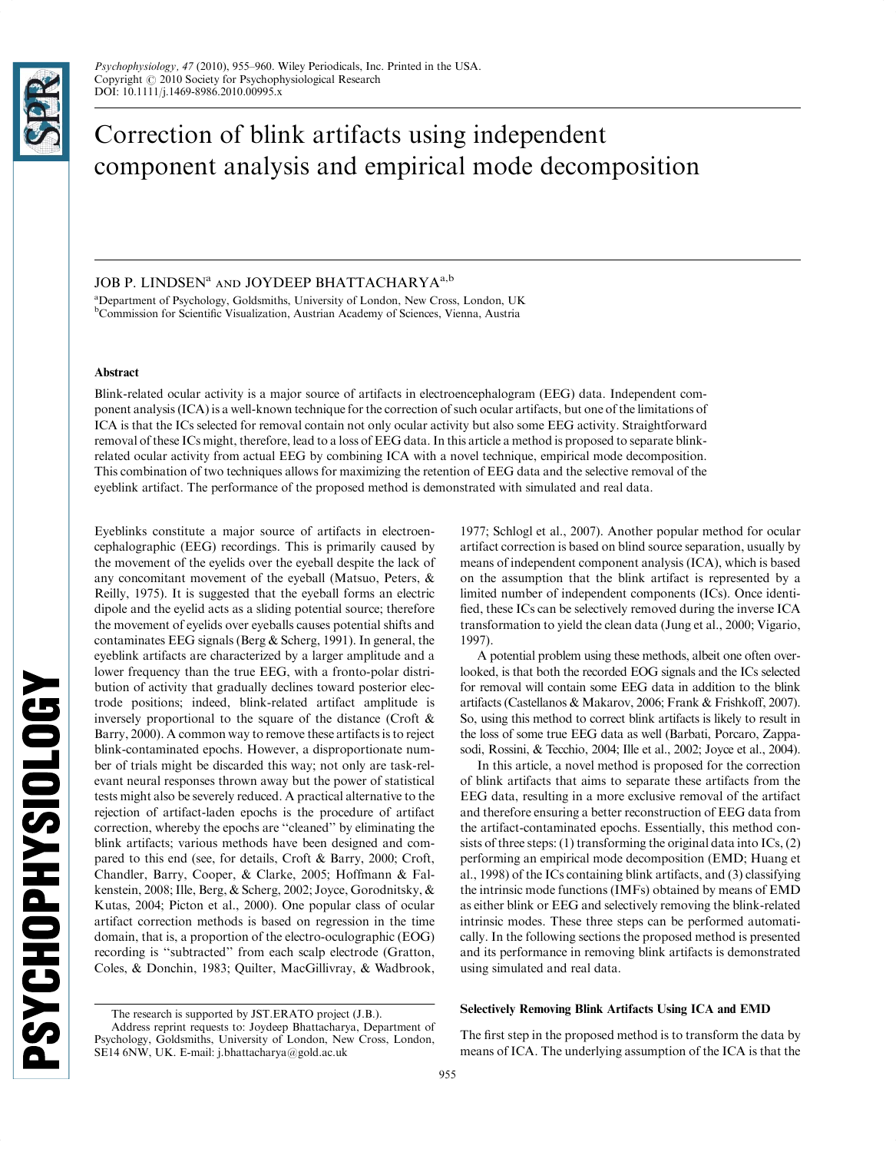# Correction of blink artifacts using independent component analysis and empirical mode decomposition

# JOB P. LINDSEN<sup>a</sup> AND JOYDEEP BHATTACHARYA<sup>a,b</sup>

<sup>a</sup>Department of Psychology, Goldsmiths, University of London, New Cross, London, UK <sup>b</sup>Commission for Scientific Visualization, Austrian Academy of Sciences, Vienna, Austria

## Abstract

Blink-related ocular activity is a major source of artifacts in electroencephalogram (EEG) data. Independent component analysis (ICA) is a well-known technique for the correction of such ocular artifacts, but one of the limitations of ICA is that the ICs selected for removal contain not only ocular activity but also some EEG activity. Straightforward removal of these ICs might, therefore, lead to a loss of EEG data. In this article a method is proposed to separate blinkrelated ocular activity from actual EEG by combining ICA with a novel technique, empirical mode decomposition. This combination of two techniques allows for maximizing the retention of EEG data and the selective removal of the eyeblink artifact. The performance of the proposed method is demonstrated with simulated and real data.

Eyeblinks constitute a major source of artifacts in electroencephalographic (EEG) recordings. This is primarily caused by the movement of the eyelids over the eyeball despite the lack of any concomitant movement of the eyeball (Matsuo, Peters, & Reilly, 1975). It is suggested that the eyeball forms an electric dipole and the eyelid acts as a sliding potential source; therefore the movement of eyelids over eyeballs causes potential shifts and contaminates EEG signals (Berg & Scherg, 1991). In general, the eyeblink artifacts are characterized by a larger amplitude and a lower frequency than the true EEG, with a fronto-polar distribution of activity that gradually declines toward posterior electrode positions; indeed, blink-related artifact amplitude is inversely proportional to the square of the distance (Croft & Barry, 2000). A common way to remove these artifacts is to reject blink-contaminated epochs. However, a disproportionate number of trials might be discarded this way; not only are task-relevant neural responses thrown away but the power of statistical tests might also be severely reduced. A practical alternative to the rejection of artifact-laden epochs is the procedure of artifact correction, whereby the epochs are ''cleaned'' by eliminating the blink artifacts; various methods have been designed and compared to this end (see, for details, Croft & Barry, 2000; Croft, Chandler, Barry, Cooper, & Clarke, 2005; Hoffmann & Falkenstein, 2008; Ille, Berg, & Scherg, 2002; Joyce, Gorodnitsky, & Kutas, 2004; Picton et al., 2000). One popular class of ocular artifact correction methods is based on regression in the time domain, that is, a proportion of the electro-oculographic (EOG) recording is ''subtracted'' from each scalp electrode (Gratton, Coles, & Donchin, 1983; Quilter, MacGillivray, & Wadbrook,

1977; Schlogl et al., 2007). Another popular method for ocular artifact correction is based on blind source separation, usually by means of independent component analysis (ICA), which is based on the assumption that the blink artifact is represented by a limited number of independent components (ICs). Once identified, these ICs can be selectively removed during the inverse ICA transformation to yield the clean data (Jung et al., 2000; Vigario, 1997).

A potential problem using these methods, albeit one often overlooked, is that both the recorded EOG signals and the ICs selected for removal will contain some EEG data in addition to the blink artifacts (Castellanos & Makarov, 2006; Frank & Frishkoff, 2007). So, using this method to correct blink artifacts is likely to result in the loss of some true EEG data as well (Barbati, Porcaro, Zappasodi, Rossini, & Tecchio, 2004; Ille et al., 2002; Joyce et al., 2004).

In this article, a novel method is proposed for the correction of blink artifacts that aims to separate these artifacts from the EEG data, resulting in a more exclusive removal of the artifact and therefore ensuring a better reconstruction of EEG data from the artifact-contaminated epochs. Essentially, this method consists of three steps: (1) transforming the original data into ICs, (2) performing an empirical mode decomposition (EMD; Huang et al., 1998) of the ICs containing blink artifacts, and (3) classifying the intrinsic mode functions (IMFs) obtained by means of EMD as either blink or EEG and selectively removing the blink-related intrinsic modes. These three steps can be performed automatically. In the following sections the proposed method is presented and its performance in removing blink artifacts is demonstrated using simulated and real data.

# Selectively Removing Blink Artifacts Using ICA and EMD

The first step in the proposed method is to transform the data by means of ICA. The underlying assumption of the ICA is that the

The research is supported by JST.ERATO project (J.B.).

Address reprint requests to: Joydeep Bhattacharya, Department of Psychology, Goldsmiths, University of London, New Cross, London, SE14 6NW, UK. E-mail: [j.bhattacharya@gold.ac.uk](mailto:j.bhattacharya@gold.ac.uk)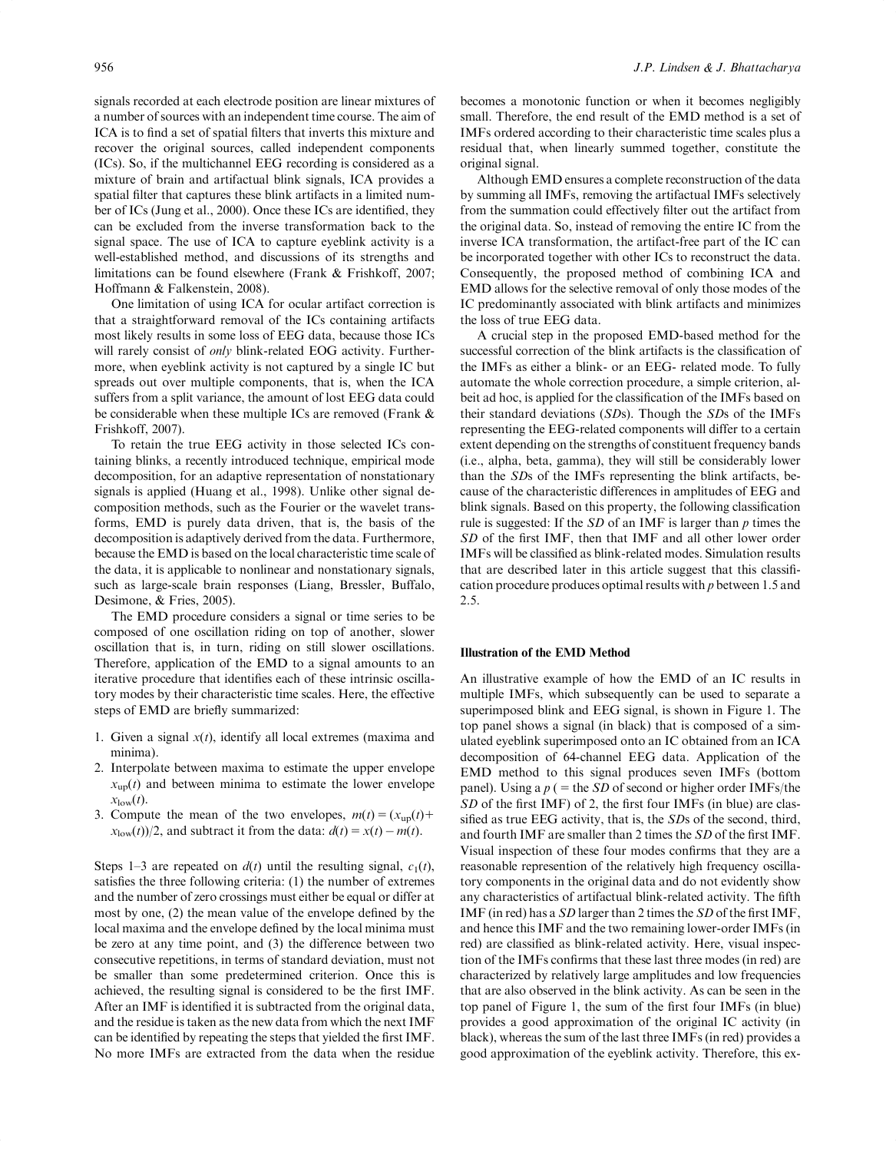signals recorded at each electrode position are linear mixtures of a number of sources with an independent time course. The aim of ICA is to find a set of spatial filters that inverts this mixture and recover the original sources, called independent components (ICs). So, if the multichannel EEG recording is considered as a mixture of brain and artifactual blink signals, ICA provides a spatial filter that captures these blink artifacts in a limited number of ICs (Jung et al., 2000). Once these ICs are identified, they can be excluded from the inverse transformation back to the signal space. The use of ICA to capture eyeblink activity is a well-established method, and discussions of its strengths and limitations can be found elsewhere (Frank & Frishkoff, 2007; Hoffmann & Falkenstein, 2008).

One limitation of using ICA for ocular artifact correction is that a straightforward removal of the ICs containing artifacts most likely results in some loss of EEG data, because those ICs will rarely consist of only blink-related EOG activity. Furthermore, when eyeblink activity is not captured by a single IC but spreads out over multiple components, that is, when the ICA suffers from a split variance, the amount of lost EEG data could be considerable when these multiple ICs are removed (Frank & Frishkoff, 2007).

To retain the true EEG activity in those selected ICs containing blinks, a recently introduced technique, empirical mode decomposition, for an adaptive representation of nonstationary signals is applied (Huang et al., 1998). Unlike other signal decomposition methods, such as the Fourier or the wavelet transforms, EMD is purely data driven, that is, the basis of the decomposition is adaptively derived from the data. Furthermore, because the EMD is based on the local characteristic time scale of the data, it is applicable to nonlinear and nonstationary signals, such as large-scale brain responses (Liang, Bressler, Buffalo, Desimone, & Fries, 2005).

The EMD procedure considers a signal or time series to be composed of one oscillation riding on top of another, slower oscillation that is, in turn, riding on still slower oscillations. Therefore, application of the EMD to a signal amounts to an iterative procedure that identifies each of these intrinsic oscillatory modes by their characteristic time scales. Here, the effective steps of EMD are briefly summarized:

- 1. Given a signal  $x(t)$ , identify all local extremes (maxima and minima).
- 2. Interpolate between maxima to estimate the upper envelope  $x<sub>up</sub>(t)$  and between minima to estimate the lower envelope  $x_{\text{low}}(t)$ .
- 3. Compute the mean of the two envelopes,  $m(t) = (x_{up}(t) +$  $x_{\text{low}}(t)$ /2, and subtract it from the data:  $d(t) = x(t) - m(t)$ .

Steps 1–3 are repeated on  $d(t)$  until the resulting signal,  $c_1(t)$ , satisfies the three following criteria: (1) the number of extremes and the number of zero crossings must either be equal or differ at most by one, (2) the mean value of the envelope defined by the local maxima and the envelope defined by the local minima must be zero at any time point, and (3) the difference between two consecutive repetitions, in terms of standard deviation, must not be smaller than some predetermined criterion. Once this is achieved, the resulting signal is considered to be the first IMF. After an IMF is identified it is subtracted from the original data, and the residue is taken as the new data from which the next IMF can be identified by repeating the steps that yielded the first IMF. No more IMFs are extracted from the data when the residue

becomes a monotonic function or when it becomes negligibly small. Therefore, the end result of the EMD method is a set of IMFs ordered according to their characteristic time scales plus a residual that, when linearly summed together, constitute the original signal.

Although EMD ensures a complete reconstruction of the data by summing all IMFs, removing the artifactual IMFs selectively from the summation could effectively filter out the artifact from the original data. So, instead of removing the entire IC from the inverse ICA transformation, the artifact-free part of the IC can be incorporated together with other ICs to reconstruct the data. Consequently, the proposed method of combining ICA and EMD allows for the selective removal of only those modes of the IC predominantly associated with blink artifacts and minimizes the loss of true EEG data.

A crucial step in the proposed EMD-based method for the successful correction of the blink artifacts is the classification of the IMFs as either a blink- or an EEG- related mode. To fully automate the whole correction procedure, a simple criterion, albeit ad hoc, is applied for the classification of the IMFs based on their standard deviations (SDs). Though the SDs of the IMFs representing the EEG-related components will differ to a certain extent depending on the strengths of constituent frequency bands (i.e., alpha, beta, gamma), they will still be considerably lower than the SDs of the IMFs representing the blink artifacts, because of the characteristic differences in amplitudes of EEG and blink signals. Based on this property, the following classification rule is suggested: If the  $SD$  of an IMF is larger than  $p$  times the SD of the first IMF, then that IMF and all other lower order IMFs will be classified as blink-related modes. Simulation results that are described later in this article suggest that this classification procedure produces optimal results with p between 1.5 and 2.5.

#### Illustration of the EMD Method

An illustrative example of how the EMD of an IC results in multiple IMFs, which subsequently can be used to separate a superimposed blink and EEG signal, is shown in Figure 1. The top panel shows a signal (in black) that is composed of a simulated eyeblink superimposed onto an IC obtained from an ICA decomposition of 64-channel EEG data. Application of the EMD method to this signal produces seven IMFs (bottom panel). Using a  $p$  ( = the *SD* of second or higher order IMFs/the SD of the first IMF) of 2, the first four IMFs (in blue) are classified as true EEG activity, that is, the SDs of the second, third, and fourth IMF are smaller than 2 times the SD of the first IMF. Visual inspection of these four modes confirms that they are a reasonable represention of the relatively high frequency oscillatory components in the original data and do not evidently show any characteristics of artifactual blink-related activity. The fifth IMF (in red) has a SD larger than 2 times the SD of the first IMF, and hence this IMF and the two remaining lower-order IMFs (in red) are classified as blink-related activity. Here, visual inspection of the IMFs confirms that these last three modes (in red) are characterized by relatively large amplitudes and low frequencies that are also observed in the blink activity. As can be seen in the top panel of Figure 1, the sum of the first four IMFs (in blue) provides a good approximation of the original IC activity (in black), whereas the sum of the last three IMFs (in red) provides a good approximation of the eyeblink activity. Therefore, this ex-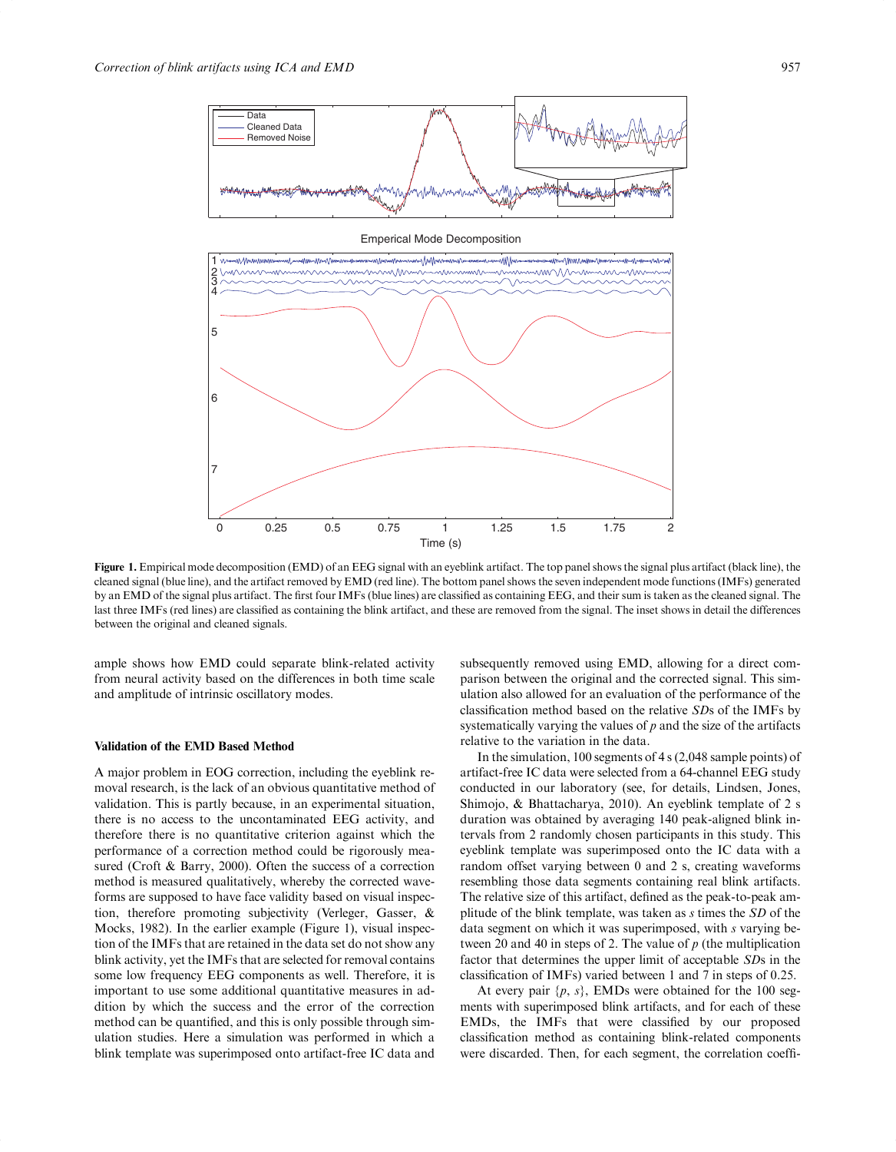

1 wM wWw www. -WM nM 2 3  $\sim$ 4 5 6 7 0 0.25 0.5 0.75 1 1.25 1.5 1.75 2 Time (s)

Figure 1. Empirical mode decomposition (EMD) of an EEG signal with an eyeblink artifact. The top panel shows the signal plus artifact (black line), the cleaned signal (blue line), and the artifact removed by EMD (red line). The bottom panel shows the seven independent mode functions (IMFs) generated by an EMD of the signal plus artifact. The first four IMFs (blue lines) are classified as containing EEG, and their sum is taken as the cleaned signal. The last three IMFs (red lines) are classified as containing the blink artifact, and these are removed from the signal. The inset shows in detail the differences between the original and cleaned signals.

ample shows how EMD could separate blink-related activity from neural activity based on the differences in both time scale and amplitude of intrinsic oscillatory modes.

# Validation of the EMD Based Method

A major problem in EOG correction, including the eyeblink removal research, is the lack of an obvious quantitative method of validation. This is partly because, in an experimental situation, there is no access to the uncontaminated EEG activity, and therefore there is no quantitative criterion against which the performance of a correction method could be rigorously measured (Croft & Barry, 2000). Often the success of a correction method is measured qualitatively, whereby the corrected waveforms are supposed to have face validity based on visual inspection, therefore promoting subjectivity (Verleger, Gasser, & Mocks, 1982). In the earlier example (Figure 1), visual inspection of the IMFs that are retained in the data set do not show any blink activity, yet the IMFs that are selected for removal contains some low frequency EEG components as well. Therefore, it is important to use some additional quantitative measures in addition by which the success and the error of the correction method can be quantified, and this is only possible through simulation studies. Here a simulation was performed in which a blink template was superimposed onto artifact-free IC data and

subsequently removed using EMD, allowing for a direct comparison between the original and the corrected signal. This simulation also allowed for an evaluation of the performance of the classification method based on the relative SDs of the IMFs by systematically varying the values of  $p$  and the size of the artifacts relative to the variation in the data.

In the simulation, 100 segments of 4 s (2,048 sample points) of artifact-free IC data were selected from a 64-channel EEG study conducted in our laboratory (see, for details, Lindsen, Jones, Shimojo, & Bhattacharya, 2010). An eyeblink template of 2 s duration was obtained by averaging 140 peak-aligned blink intervals from 2 randomly chosen participants in this study. This eyeblink template was superimposed onto the IC data with a random offset varying between 0 and 2 s, creating waveforms resembling those data segments containing real blink artifacts. The relative size of this artifact, defined as the peak-to-peak amplitude of the blink template, was taken as s times the SD of the data segment on which it was superimposed, with s varying between 20 and 40 in steps of 2. The value of  $p$  (the multiplication factor that determines the upper limit of acceptable SDs in the classification of IMFs) varied between 1 and 7 in steps of 0.25.

At every pair  $\{p, s\}$ , EMDs were obtained for the 100 segments with superimposed blink artifacts, and for each of these EMDs, the IMFs that were classified by our proposed classification method as containing blink-related components were discarded. Then, for each segment, the correlation coeffi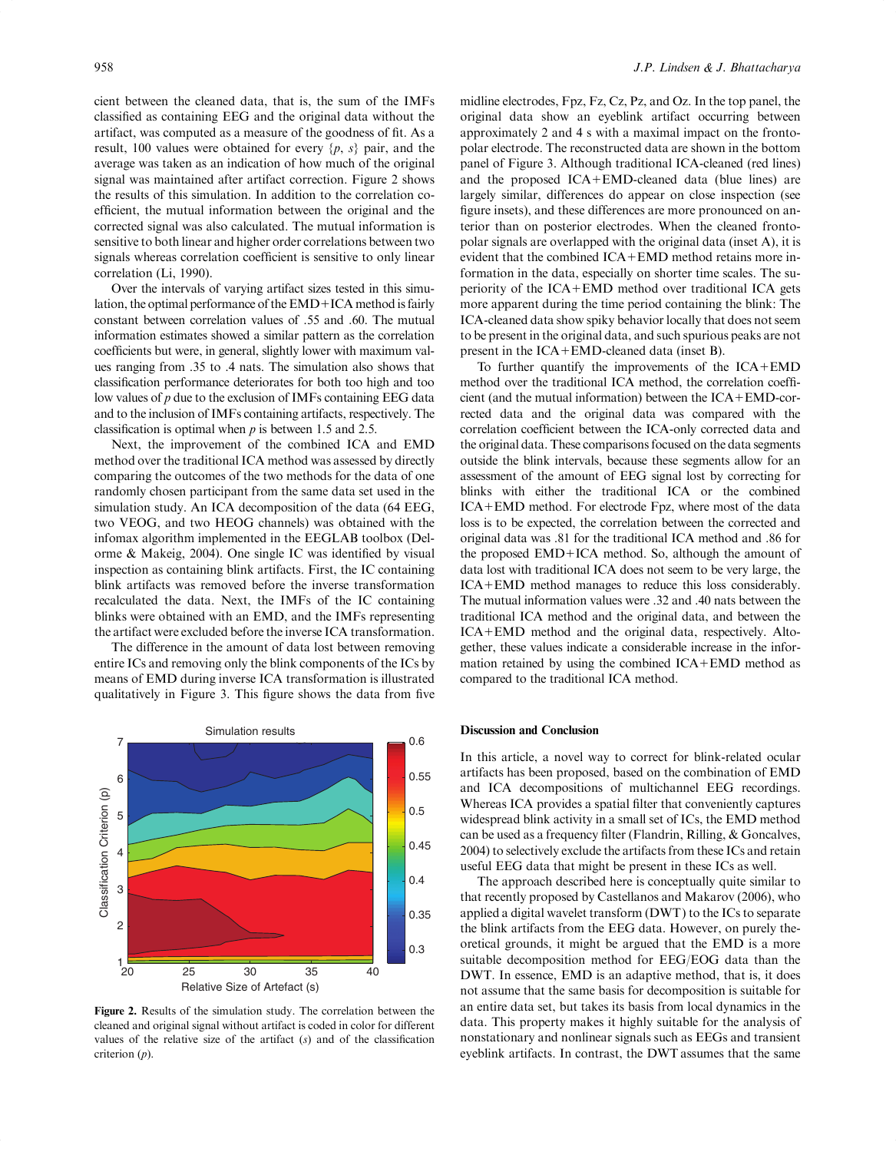cient between the cleaned data, that is, the sum of the IMFs classified as containing EEG and the original data without the artifact, was computed as a measure of the goodness of fit. As a result, 100 values were obtained for every  $\{p, s\}$  pair, and the average was taken as an indication of how much of the original signal was maintained after artifact correction. Figure 2 shows the results of this simulation. In addition to the correlation coefficient, the mutual information between the original and the corrected signal was also calculated. The mutual information is sensitive to both linear and higher order correlations between two signals whereas correlation coefficient is sensitive to only linear correlation (Li, 1990).

Over the intervals of varying artifact sizes tested in this simulation, the optimal performance of the  $EMD+ICA$  method is fairly constant between correlation values of .55 and .60. The mutual information estimates showed a similar pattern as the correlation coefficients but were, in general, slightly lower with maximum values ranging from .35 to .4 nats. The simulation also shows that classification performance deteriorates for both too high and too low values of p due to the exclusion of IMFs containing EEG data and to the inclusion of IMFs containing artifacts, respectively. The classification is optimal when  $p$  is between 1.5 and 2.5.

Next, the improvement of the combined ICA and EMD method over the traditional ICA method was assessed by directly comparing the outcomes of the two methods for the data of one randomly chosen participant from the same data set used in the simulation study. An ICA decomposition of the data (64 EEG, two VEOG, and two HEOG channels) was obtained with the infomax algorithm implemented in the EEGLAB toolbox (Delorme & Makeig, 2004). One single IC was identified by visual inspection as containing blink artifacts. First, the IC containing blink artifacts was removed before the inverse transformation recalculated the data. Next, the IMFs of the IC containing blinks were obtained with an EMD, and the IMFs representing the artifact were excluded before the inverse ICA transformation.

The difference in the amount of data lost between removing entire ICs and removing only the blink components of the ICs by means of EMD during inverse ICA transformation is illustrated qualitatively in Figure 3. This figure shows the data from five



Figure 2. Results of the simulation study. The correlation between the cleaned and original signal without artifact is coded in color for different values of the relative size of the artifact  $(s)$  and of the classification criterion  $(p)$ .

midline electrodes, Fpz, Fz, Cz, Pz, and Oz. In the top panel, the original data show an eyeblink artifact occurring between approximately 2 and 4 s with a maximal impact on the frontopolar electrode. The reconstructed data are shown in the bottom panel of Figure 3. Although traditional ICA-cleaned (red lines) and the proposed  $ICA+EMD$ -cleaned data (blue lines) are largely similar, differences do appear on close inspection (see figure insets), and these differences are more pronounced on anterior than on posterior electrodes. When the cleaned frontopolar signals are overlapped with the original data (inset A), it is evident that the combined  $ICA+EMD$  method retains more information in the data, especially on shorter time scales. The superiority of the  $ICA+EMD$  method over traditional  $ICA$  gets more apparent during the time period containing the blink: The ICA-cleaned data show spiky behavior locally that does not seem to be present in the original data, and such spurious peaks are not present in the  $ICA+EMD$ -cleaned data (inset B).

To further quantify the improvements of the  $ICA+EMD$ method over the traditional ICA method, the correlation coefficient (and the mutual information) between the  $ICA+EMD-cor$ rected data and the original data was compared with the correlation coefficient between the ICA-only corrected data and the original data. These comparisons focused on the data segments outside the blink intervals, because these segments allow for an assessment of the amount of EEG signal lost by correcting for blinks with either the traditional ICA or the combined ICA+EMD method. For electrode Fpz, where most of the data loss is to be expected, the correlation between the corrected and original data was .81 for the traditional ICA method and .86 for the proposed EMD+ICA method. So, although the amount of data lost with traditional ICA does not seem to be very large, the ICA+EMD method manages to reduce this loss considerably. The mutual information values were .32 and .40 nats between the traditional ICA method and the original data, and between the  $ICA+EMD$  method and the original data, respectively. Altogether, these values indicate a considerable increase in the information retained by using the combined  $ICA+EMD$  method as compared to the traditional ICA method.

# Discussion and Conclusion

In this article, a novel way to correct for blink-related ocular artifacts has been proposed, based on the combination of EMD and ICA decompositions of multichannel EEG recordings. Whereas ICA provides a spatial filter that conveniently captures widespread blink activity in a small set of ICs, the EMD method can be used as a frequency filter (Flandrin, Rilling, & Goncalves, 2004) to selectively exclude the artifacts from these ICs and retain useful EEG data that might be present in these ICs as well.

The approach described here is conceptually quite similar to that recently proposed by Castellanos and Makarov (2006), who applied a digital wavelet transform (DWT) to the ICs to separate the blink artifacts from the EEG data. However, on purely theoretical grounds, it might be argued that the EMD is a more suitable decomposition method for EEG/EOG data than the DWT. In essence, EMD is an adaptive method, that is, it does not assume that the same basis for decomposition is suitable for an entire data set, but takes its basis from local dynamics in the data. This property makes it highly suitable for the analysis of nonstationary and nonlinear signals such as EEGs and transient eyeblink artifacts. In contrast, the DWT assumes that the same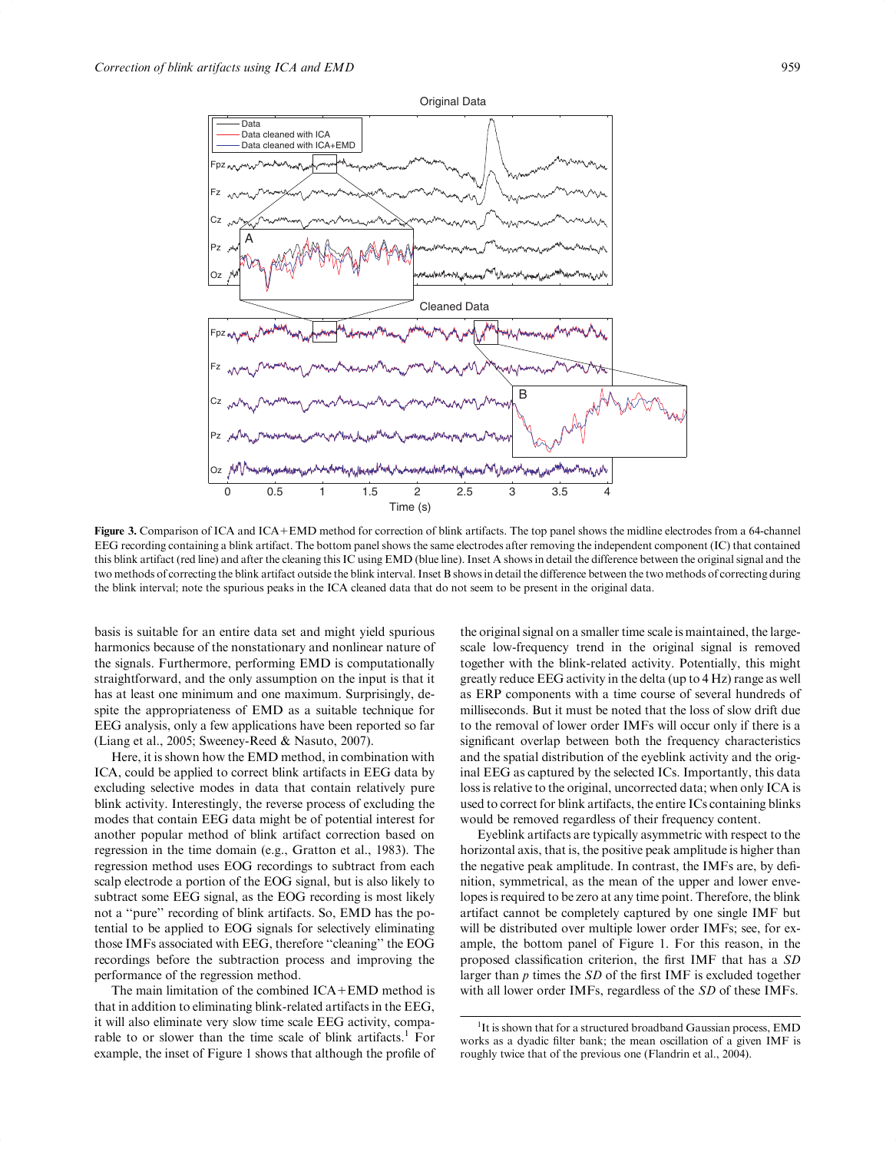

Figure 3. Comparison of ICA and ICA+EMD method for correction of blink artifacts. The top panel shows the midline electrodes from a 64-channel EEG recording containing a blink artifact. The bottom panel shows the same electrodes after removing the independent component (IC) that contained this blink artifact (red line) and after the cleaning this IC using EMD (blue line). Inset A shows in detail the difference between the original signal and the two methods of correcting the blink artifact outside the blink interval. Inset B shows in detail the difference between the two methods of correcting during the blink interval; note the spurious peaks in the ICA cleaned data that do not seem to be present in the original data.

basis is suitable for an entire data set and might yield spurious harmonics because of the nonstationary and nonlinear nature of the signals. Furthermore, performing EMD is computationally straightforward, and the only assumption on the input is that it has at least one minimum and one maximum. Surprisingly, despite the appropriateness of EMD as a suitable technique for EEG analysis, only a few applications have been reported so far (Liang et al., 2005; Sweeney-Reed & Nasuto, 2007).

Here, it is shown how the EMD method, in combination with ICA, could be applied to correct blink artifacts in EEG data by excluding selective modes in data that contain relatively pure blink activity. Interestingly, the reverse process of excluding the modes that contain EEG data might be of potential interest for another popular method of blink artifact correction based on regression in the time domain (e.g., Gratton et al., 1983). The regression method uses EOG recordings to subtract from each scalp electrode a portion of the EOG signal, but is also likely to subtract some EEG signal, as the EOG recording is most likely not a ''pure'' recording of blink artifacts. So, EMD has the potential to be applied to EOG signals for selectively eliminating those IMFs associated with EEG, therefore ''cleaning'' the EOG recordings before the subtraction process and improving the performance of the regression method.

The main limitation of the combined  $ICA+EMD$  method is that in addition to eliminating blink-related artifacts in the EEG, it will also eliminate very slow time scale EEG activity, comparable to or slower than the time scale of blink artifacts.<sup>1</sup> For example, the inset of Figure 1 shows that although the profile of the original signal on a smaller time scale is maintained, the largescale low-frequency trend in the original signal is removed together with the blink-related activity. Potentially, this might greatly reduce EEG activity in the delta (up to 4 Hz) range as well as ERP components with a time course of several hundreds of milliseconds. But it must be noted that the loss of slow drift due to the removal of lower order IMFs will occur only if there is a significant overlap between both the frequency characteristics and the spatial distribution of the eyeblink activity and the original EEG as captured by the selected ICs. Importantly, this data loss is relative to the original, uncorrected data; when only ICA is used to correct for blink artifacts, the entire ICs containing blinks would be removed regardless of their frequency content.

Eyeblink artifacts are typically asymmetric with respect to the horizontal axis, that is, the positive peak amplitude is higher than the negative peak amplitude. In contrast, the IMFs are, by definition, symmetrical, as the mean of the upper and lower envelopes is required to be zero at any time point. Therefore, the blink artifact cannot be completely captured by one single IMF but will be distributed over multiple lower order IMFs; see, for example, the bottom panel of Figure 1. For this reason, in the proposed classification criterion, the first IMF that has a SD larger than *p* times the *SD* of the first IMF is excluded together with all lower order IMFs, regardless of the SD of these IMFs.

<sup>&</sup>lt;sup>1</sup>It is shown that for a structured broadband Gaussian process, EMD works as a dyadic filter bank; the mean oscillation of a given IMF is roughly twice that of the previous one (Flandrin et al., 2004).